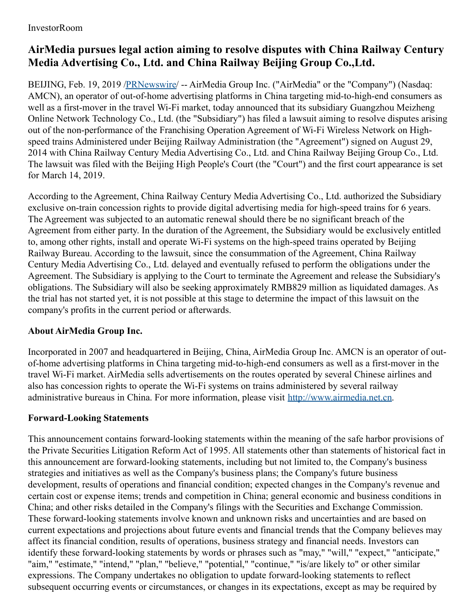## **AirMedia pursues legal action aiming to resolve disputes with China Railway Century Media Advertising Co., Ltd. and China Railway Beijing Group Co.,Ltd.**

BEIJING, Feb. 19, 2019 [/PRNewswire](http://www.prnewswire.com/)/ -- AirMedia Group Inc. ("AirMedia" or the "Company") (Nasdaq: AMCN), an operator of out-of-home advertising platforms in China targeting mid-to-high-end consumers as well as a first-mover in the travel Wi-Fi market, today announced that its subsidiary Guangzhou Meizheng Online Network Technology Co., Ltd. (the "Subsidiary") has filed a lawsuit aiming to resolve disputes arising out of the non-performance of the Franchising Operation Agreement of Wi-Fi Wireless Network on Highspeed trains Administered under Beijing Railway Administration (the "Agreement") signed on August 29, 2014 with China Railway Century Media Advertising Co., Ltd. and China Railway Beijing Group Co., Ltd. The lawsuit was filed with the Beijing High People's Court (the "Court") and the first court appearance is set for March 14, 2019.

According to the Agreement, China Railway Century Media Advertising Co., Ltd. authorized the Subsidiary exclusive on-train concession rights to provide digital advertising media for high-speed trains for 6 years. The Agreement was subjected to an automatic renewal should there be no significant breach of the Agreement from either party. In the duration of the Agreement, the Subsidiary would be exclusively entitled to, among other rights, install and operate Wi-Fi systems on the high-speed trains operated by Beijing Railway Bureau. According to the lawsuit, since the consummation of the Agreement, China Railway Century Media Advertising Co., Ltd. delayed and eventually refused to perform the obligations under the Agreement. The Subsidiary is applying to the Court to terminate the Agreement and release the Subsidiary's obligations. The Subsidiary will also be seeking approximately RMB829 million as liquidated damages. As the trial has not started yet, it is not possible at this stage to determine the impact of this lawsuit on the company's profits in the current period or afterwards.

## **About AirMedia Group Inc.**

Incorporated in 2007 and headquartered in Beijing, China, AirMedia Group Inc. AMCN is an operator of outof-home advertising platforms in China targeting mid-to-high-end consumers as well as a first-mover in the travel Wi-Fi market. AirMedia sells advertisements on the routes operated by several Chinese airlines and also has concession rights to operate the Wi-Fi systems on trains administered by several railway administrative bureaus in China. For more information, please visit [http://www.airmedia.net.cn](http://www.airmedia.net.cn/).

## **Forward-Looking Statements**

This announcement contains forward-looking statements within the meaning of the safe harbor provisions of the Private Securities Litigation Reform Act of 1995. All statements other than statements of historical fact in this announcement are forward-looking statements, including but not limited to, the Company's business strategies and initiatives as well as the Company's business plans; the Company's future business development, results of operations and financial condition; expected changes in the Company's revenue and certain cost or expense items; trends and competition in China; general economic and business conditions in China; and other risks detailed in the Company's filings with the Securities and Exchange Commission. These forward-looking statements involve known and unknown risks and uncertainties and are based on current expectations and projections about future events and financial trends that the Company believes may affect its financial condition, results of operations, business strategy and financial needs. Investors can identify these forward-looking statements by words or phrases such as "may," "will," "expect," "anticipate," "aim," "estimate," "intend," "plan," "believe," "potential," "continue," "is/are likely to" or other similar expressions. The Company undertakes no obligation to update forward-looking statements to reflect subsequent occurring events or circumstances, or changes in its expectations, except as may be required by